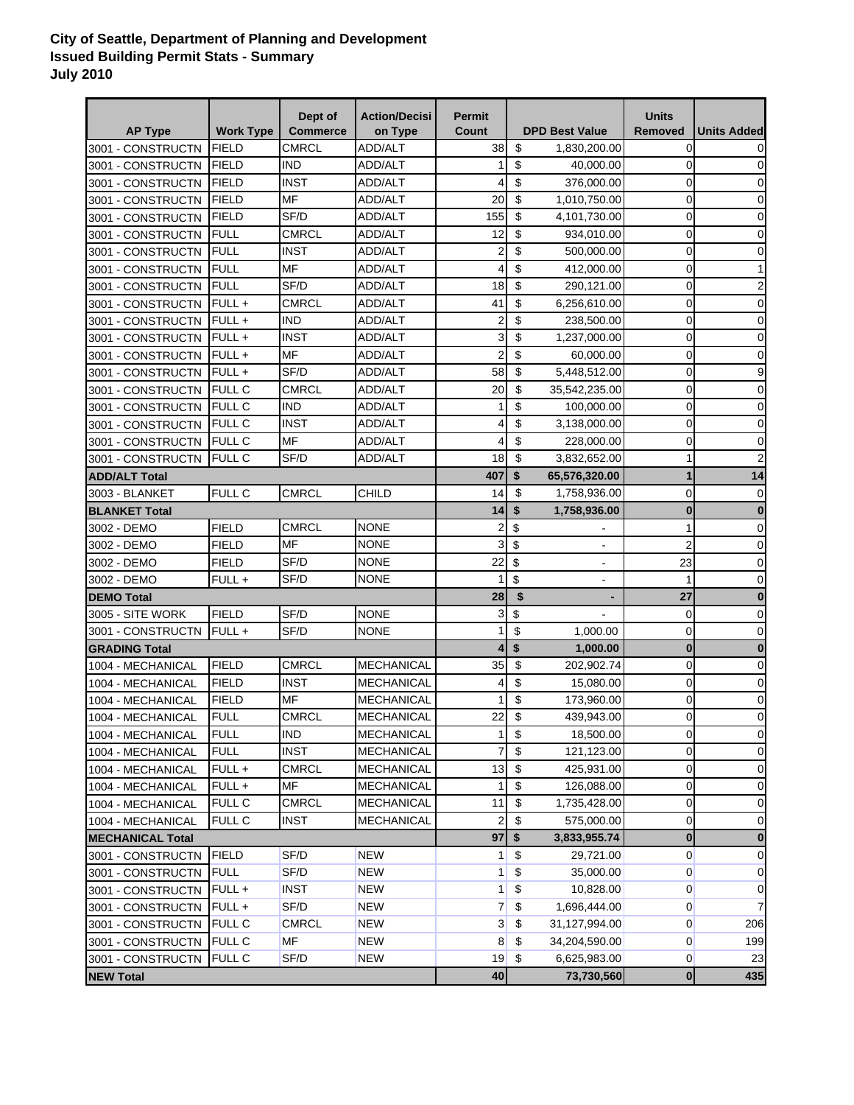## **City of Seattle, Department of Planning and Development Issued Building Permit Stats - Summary July 2010**

| <b>AP Type</b>          | <b>Work Type</b> | Dept of<br><b>Commerce</b> | <b>Action/Decisi</b><br>on Type | <b>Permit</b><br>Count  |                           | <b>DPD Best Value</b>    | <b>Units</b><br><b>Removed</b> | <b>Units Added</b> |
|-------------------------|------------------|----------------------------|---------------------------------|-------------------------|---------------------------|--------------------------|--------------------------------|--------------------|
| 3001 - CONSTRUCTN       | <b>FIELD</b>     | <b>CMRCL</b>               | <b>ADD/ALT</b>                  | 38                      | $\boldsymbol{\mathsf{S}}$ | 1,830,200.00             | 0                              |                    |
| 3001 - CONSTRUCTN       | <b>FIELD</b>     | <b>IND</b>                 | <b>ADD/ALT</b>                  | 1                       | \$                        | 40,000.00                | $\mathbf 0$                    | 0                  |
| 3001 - CONSTRUCTN       | <b>FIELD</b>     | <b>INST</b>                | <b>ADD/ALT</b>                  | 4                       | \$                        | 376,000.00               | $\mathbf 0$                    | 0                  |
| 3001 - CONSTRUCTN       | <b>FIELD</b>     | MF                         | ADD/ALT                         | 20                      | $\boldsymbol{\mathsf{S}}$ | 1,010,750.00             | $\mathbf 0$                    | 0                  |
| 3001 - CONSTRUCTN       | <b>FIELD</b>     | SF/D                       | ADD/ALT                         | 155                     | \$                        | 4,101,730.00             | $\mathbf 0$                    | 0                  |
| 3001 - CONSTRUCTN       | <b>FULL</b>      | CMRCL                      | ADD/ALT                         | 12                      | \$                        | 934,010.00               | $\mathbf 0$                    | 0                  |
| 3001 - CONSTRUCTN       | <b>FULL</b>      | <b>INST</b>                | ADD/ALT                         | $\overline{2}$          | \$                        | 500,000.00               | $\mathbf 0$                    | 0                  |
| 3001 - CONSTRUCTN       | <b>FULL</b>      | MF                         | ADD/ALT                         | 4                       | \$                        | 412,000.00               | $\overline{0}$                 |                    |
| 3001 - CONSTRUCTN       | <b>FULL</b>      | SF/D                       | ADD/ALT                         | 18                      | \$                        | 290,121.00               | $\mathbf 0$                    | 2                  |
| 3001 - CONSTRUCTN       | $FULL +$         | CMRCL                      | ADD/ALT                         | 41                      | \$                        | 6,256,610.00             | $\mathbf 0$                    | $\mathbf 0$        |
| 3001 - CONSTRUCTN       | FULL+            | <b>IND</b>                 | ADD/ALT                         | $\overline{2}$          | \$                        | 238,500.00               | $\mathbf 0$                    | $\mathbf 0$        |
| 3001 - CONSTRUCTN       | FULL+            | <b>INST</b>                | ADD/ALT                         | 3                       | \$                        | 1,237,000.00             | $\mathbf 0$                    | $\mathbf 0$        |
| 3001 - CONSTRUCTN       | FULL+            | <b>MF</b>                  | ADD/ALT                         | $\overline{2}$          | \$                        | 60,000.00                | $\mathbf 0$                    | $\mathbf 0$        |
| 3001 - CONSTRUCTN       | FULL +           | SF/D                       | ADD/ALT                         | 58                      | $\boldsymbol{\mathsf{S}}$ | 5,448,512.00             | $\mathbf 0$                    | 9                  |
| 3001 - CONSTRUCTN       | <b>FULL C</b>    | <b>CMRCL</b>               | ADD/ALT                         | 20                      | $\sqrt[6]{\frac{1}{2}}$   | 35,542,235.00            | $\mathbf 0$                    | 0                  |
| 3001 - CONSTRUCTN       | <b>FULL C</b>    | <b>IND</b>                 | ADD/ALT                         | 1                       | \$                        | 100,000.00               | 0                              | 0                  |
| 3001 - CONSTRUCTN       | <b>FULL C</b>    | <b>INST</b>                | ADD/ALT                         | 4                       | \$                        | 3,138,000.00             | $\mathbf 0$                    | 0                  |
| 3001 - CONSTRUCTN       | <b>FULL C</b>    | <b>MF</b>                  | <b>ADD/ALT</b>                  | 4                       | \$                        | 228,000.00               | 0                              | 0                  |
| 3001 - CONSTRUCTN       | <b>FULL C</b>    | SF/D                       | <b>ADD/ALT</b>                  | 18                      | $\sqrt[6]{\frac{1}{2}}$   | 3,832,652.00             | 1                              | 2                  |
| <b>ADD/ALT Total</b>    |                  |                            |                                 | 407                     | \$                        | 65,576,320.00            | $\mathbf{1}$                   | 14                 |
| 3003 - BLANKET          | FULL C           | <b>CMRCL</b>               | CHILD                           | 14                      | \$                        | 1,758,936.00             | 0                              | $\mathbf 0$        |
| <b>BLANKET Total</b>    |                  |                            |                                 | 14                      | \$                        | 1,758,936.00             | $\bf{0}$                       | $\bf{0}$           |
| 3002 - DEMO             | <b>FIELD</b>     | <b>CMRCL</b>               | <b>NONE</b>                     | 2                       | \$                        |                          | 1                              | $\mathbf 0$        |
| 3002 - DEMO             | <b>FIELD</b>     | <b>MF</b>                  | <b>NONE</b>                     | 3                       | \$                        | $\blacksquare$           | $\overline{2}$                 | $\mathbf 0$        |
| 3002 - DEMO             | <b>FIELD</b>     | SF/D                       | <b>NONE</b>                     | 22                      | \$                        | $\blacksquare$           | 23                             | 0                  |
| 3002 - DEMO             | FULL+            | SF/D                       | <b>NONE</b>                     | 1                       | \$                        | $\overline{\phantom{a}}$ | 1                              | $\mathbf 0$        |
| <b>DEMO Total</b>       |                  |                            |                                 | 28                      | \$                        |                          | 27                             | $\bf{0}$           |
| 3005 - SITE WORK        | <b>FIELD</b>     | SF/D                       | <b>NONE</b>                     | 3                       | \$                        |                          | 0                              | $\mathbf 0$        |
| 3001 - CONSTRUCTN       | $FULL +$         | SF/D                       | <b>NONE</b>                     | 1                       | \$                        | 1,000.00                 | 0                              | 0                  |
| <b>GRADING Total</b>    |                  |                            |                                 | $\overline{\mathbf{A}}$ | \$                        | 1,000.00                 | $\bf{0}$                       | $\bf{0}$           |
| 1004 - MECHANICAL       | <b>FIELD</b>     | <b>CMRCL</b>               | <b>MECHANICAL</b>               | 35                      | \$                        | 202,902.74               | 0                              | $\mathbf 0$        |
| 1004 - MECHANICAL       | <b>FIELD</b>     | <b>INST</b>                | <b>MECHANICAL</b>               | 4                       | \$                        | 15,080.00                | $\mathbf 0$                    | 0                  |
| 1004 - MECHANICAL       | FIELD            | MF                         | <b>MECHANICAL</b>               | 1                       | \$                        | 173,960.00               | $\mathbf 0$                    | 0                  |
| 1004 - MECHANICAL       | <b>FULL</b>      | <b>CMRCL</b>               | <b>MECHANICAL</b>               | 22                      | \$                        | 439,943.00               | 0                              | 0                  |
| 1004 - MECHANICAL       | <b>FULL</b>      | <b>IND</b>                 | <b>MECHANICAL</b>               | 1 <sup>1</sup>          | $\pmb{\mathfrak{z}}$      | 18,500.00                | $\overline{0}$                 | 0                  |
| 1004 - MECHANICAL       | <b>FULL</b>      | <b>INST</b>                | <b>MECHANICAL</b>               | $\overline{7}$          | \$                        | 121,123.00               | $\mathbf 0$                    | $\mathbf 0$        |
| 1004 - MECHANICAL       | FULL +           | <b>CMRCL</b>               | <b>MECHANICAL</b>               | 13                      | $\boldsymbol{\mathsf{S}}$ | 425,931.00               | $\mathbf 0$                    | 0                  |
| 1004 - MECHANICAL       | FULL+            | MF                         | <b>MECHANICAL</b>               | 1                       | \$                        | 126,088.00               | $\overline{0}$                 | $\mathbf 0$        |
| 1004 - MECHANICAL       | FULL C           | <b>CMRCL</b>               | MECHANICAL                      | 11                      | \$                        | 1,735,428.00             | $\overline{0}$                 | 0                  |
| 1004 - MECHANICAL       | FULL C           | <b>INST</b>                | MECHANICAL                      | 2                       | \$                        | 575,000.00               | $\mathbf 0$                    | $\mathbf 0$        |
| <b>MECHANICAL Total</b> |                  |                            |                                 | 97                      | \$                        | 3,833,955.74             | $\bf{0}$                       | $\bf{0}$           |
| 3001 - CONSTRUCTN       | <b>FIELD</b>     | SF/D                       | <b>NEW</b>                      | 1                       | \$                        | 29,721.00                | $\mathbf{0}$                   | 0                  |
| 3001 - CONSTRUCTN       | <b>FULL</b>      | SF/D                       | <b>NEW</b>                      | 1                       | \$                        | 35,000.00                | $\mathbf{0}$                   | 0                  |
| 3001 - CONSTRUCTN       | FULL +           | <b>INST</b>                | <b>NEW</b>                      | 1                       | \$                        | 10,828.00                | $\mathbf{0}$                   | 0                  |
| 3001 - CONSTRUCTN       | FULL +           | SF/D                       | <b>NEW</b>                      | 7                       | \$                        | 1,696,444.00             | $\mathbf{0}$                   | 7                  |
| 3001 - CONSTRUCTN       | FULL C           | <b>CMRCL</b>               | <b>NEW</b>                      | 3                       | \$                        | 31,127,994.00            | $\overline{0}$                 | 206                |
| 3001 - CONSTRUCTN       | FULL C           | <b>MF</b>                  | <b>NEW</b>                      | 8                       | $\boldsymbol{\mathsf{S}}$ | 34,204,590.00            | $\overline{0}$                 | 199                |
| 3001 - CONSTRUCTN       | <b>FULL C</b>    | SF/D                       | <b>NEW</b>                      | 19                      | \$                        | 6,625,983.00             | $\overline{0}$                 | 23                 |
| <b>NEW Total</b>        |                  |                            |                                 | 40                      |                           | 73,730,560               | $\mathbf 0$                    | 435                |